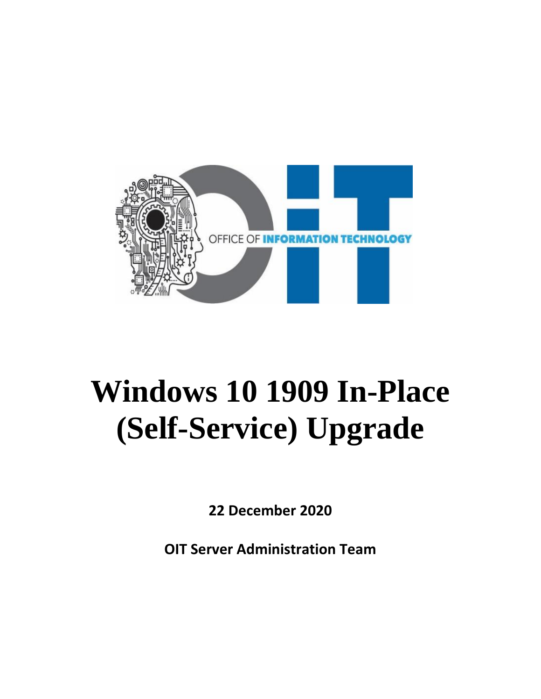

# **Windows 10 1909 In-Place (Self-Service) Upgrade**

**22 December 2020**

**OIT Server Administration Team**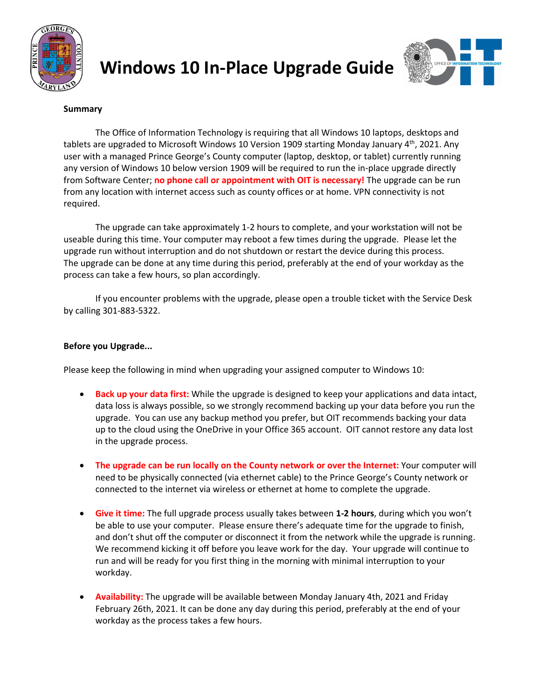



#### **Summary**

The Office of Information Technology is requiring that all Windows 10 laptops, desktops and tablets are upgraded to Microsoft Windows 10 Version 1909 starting Monday January 4<sup>th</sup>, 2021. Any user with a managed Prince George's County computer (laptop, desktop, or tablet) currently running any version of Windows 10 below version 1909 will be required to run the in-place upgrade directly from Software Center; **no phone call or appointment with OIT is necessary!** The upgrade can be run from any location with internet access such as county offices or at home. VPN connectivity is not required.

The upgrade can take approximately 1-2 hours to complete, and your workstation will not be useable during this time. Your computer may reboot a few times during the upgrade. Please let the upgrade run without interruption and do not shutdown or restart the device during this process. The upgrade can be done at any time during this period, preferably at the end of your workday as the process can take a few hours, so plan accordingly.

If you encounter problems with the upgrade, please open a trouble ticket with the Service Desk by calling 301-883-5322.

#### **Before you Upgrade...**

Please keep the following in mind when upgrading your assigned computer to Windows 10:

- **Back up your data first:** While the upgrade is designed to keep your applications and data intact, data loss is always possible, so we strongly recommend backing up your data before you run the upgrade. You can use any backup method you prefer, but OIT recommends backing your data up to the cloud using the OneDrive in your Office 365 account. OIT cannot restore any data lost in the upgrade process.
- **The upgrade can be run locally on the County network or over the Internet:** Your computer will need to be physically connected (via ethernet cable) to the Prince George's County network or connected to the internet via wireless or ethernet at home to complete the upgrade.
- **Give it time:** The full upgrade process usually takes between **1-2 hours**, during which you won't be able to use your computer. Please ensure there's adequate time for the upgrade to finish, and don't shut off the computer or disconnect it from the network while the upgrade is running. We recommend kicking it off before you leave work for the day. Your upgrade will continue to run and will be ready for you first thing in the morning with minimal interruption to your workday.
- **Availability:** The upgrade will be available between Monday January 4th, 2021 and Friday February 26th, 2021. It can be done any day during this period, preferably at the end of your workday as the process takes a few hours.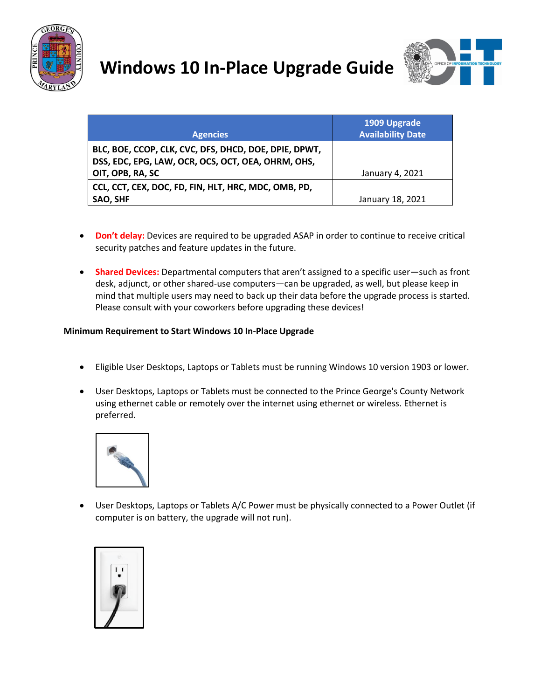



|                                                       | 1909 Upgrade<br><b>Availability Date</b> |
|-------------------------------------------------------|------------------------------------------|
| <b>Agencies</b>                                       |                                          |
| BLC, BOE, CCOP, CLK, CVC, DFS, DHCD, DOE, DPIE, DPWT, |                                          |
| DSS, EDC, EPG, LAW, OCR, OCS, OCT, OEA, OHRM, OHS,    |                                          |
| OIT, OPB, RA, SC                                      | January 4, 2021                          |
| CCL, CCT, CEX, DOC, FD, FIN, HLT, HRC, MDC, OMB, PD,  |                                          |
| SAO, SHF                                              | January 18, 2021                         |

- **Don't delay:** Devices are required to be upgraded ASAP in order to continue to receive critical security patches and feature updates in the future.
- **Shared Devices:** Departmental computers that aren't assigned to a specific user—such as front desk, adjunct, or other shared-use computers—can be upgraded, as well, but please keep in mind that multiple users may need to back up their data before the upgrade process is started. Please consult with your coworkers before upgrading these devices!

#### **Minimum Requirement to Start Windows 10 In-Place Upgrade**

- Eligible User Desktops, Laptops or Tablets must be running Windows 10 version 1903 or lower.
- User Desktops, Laptops or Tablets must be connected to the Prince George's County Network using ethernet cable or remotely over the internet using ethernet or wireless. Ethernet is preferred.



• User Desktops, Laptops or Tablets A/C Power must be physically connected to a Power Outlet (if computer is on battery, the upgrade will not run).

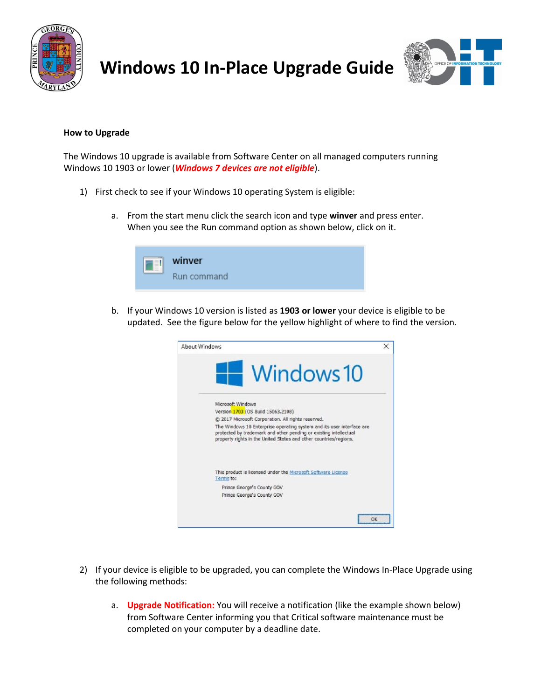



#### **How to Upgrade**

The Windows 10 upgrade is available from Software Center on all managed computers running Windows 10 1903 or lower (*Windows 7 devices are not eligible*).

- 1) First check to see if your Windows 10 operating System is eligible:
	- a. From the start menu click the search icon and type **winver** and press enter. When you see the Run command option as shown below, click on it.



b. If your Windows 10 version is listed as **1903 or lower** your device is eligible to be updated. See the figure below for the yellow highlight of where to find the version.



- 2) If your device is eligible to be upgraded, you can complete the Windows In-Place Upgrade using the following methods:
	- a. **Upgrade Notification:** You will receive a notification (like the example shown below) from Software Center informing you that Critical software maintenance must be completed on your computer by a deadline date.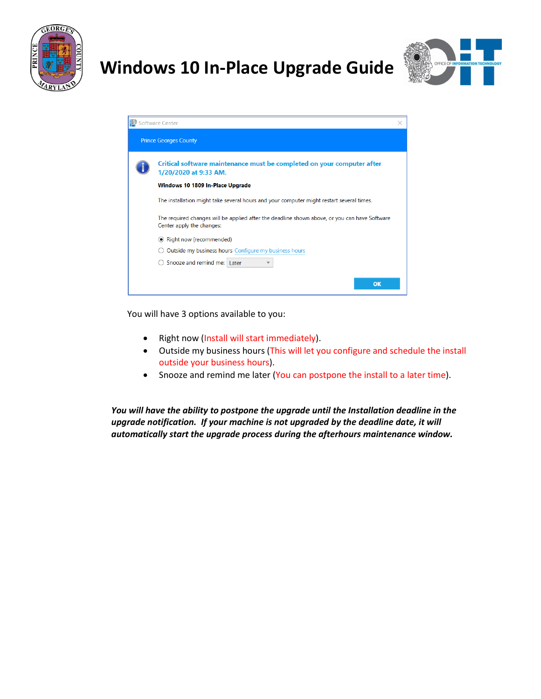



| Software Center                                                                                                            |  |
|----------------------------------------------------------------------------------------------------------------------------|--|
| <b>Prince Georges County</b>                                                                                               |  |
| Critical software maintenance must be completed on your computer after<br>1/20/2020 at 9:33 AM.                            |  |
| Windows 10 1809 In-Place Upgrade                                                                                           |  |
| The installation might take several hours and your computer might restart several times.                                   |  |
| The required changes will be applied after the deadline shown above, or you can have Software<br>Center apply the changes: |  |
| ◉ Right now (recommended)                                                                                                  |  |
| Outside my business hours Configure my business hours                                                                      |  |
| Snooze and remind me: Later                                                                                                |  |
| OK                                                                                                                         |  |

You will have 3 options available to you:

- Right now (Install will start immediately).
- Outside my business hours (This will let you configure and schedule the install outside your business hours).
- Snooze and remind me later (You can postpone the install to a later time).

*You will have the ability to postpone the upgrade until the Installation deadline in the upgrade notification. If your machine is not upgraded by the deadline date, it will automatically start the upgrade process during the afterhours maintenance window.*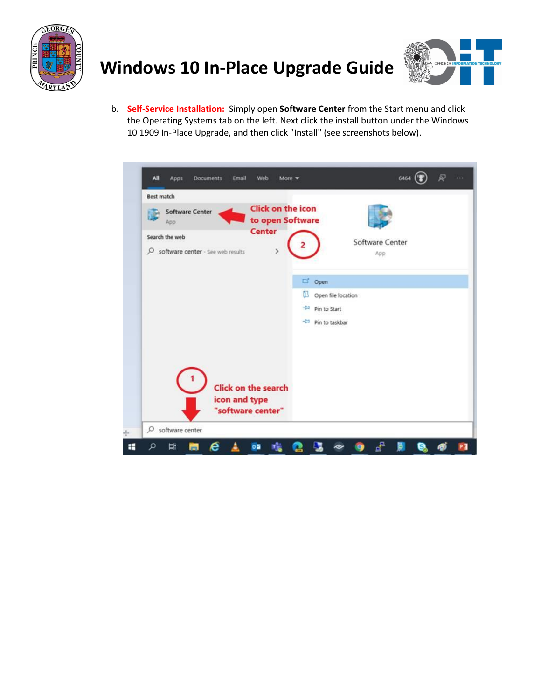



b. **Self-Service Installation:** Simply open **Software Center** from the Start menu and click the Operating Systems tab on the left. Next click the install button under the Windows 10 1909 In-Place Upgrade, and then click "Install" (see screenshots below).

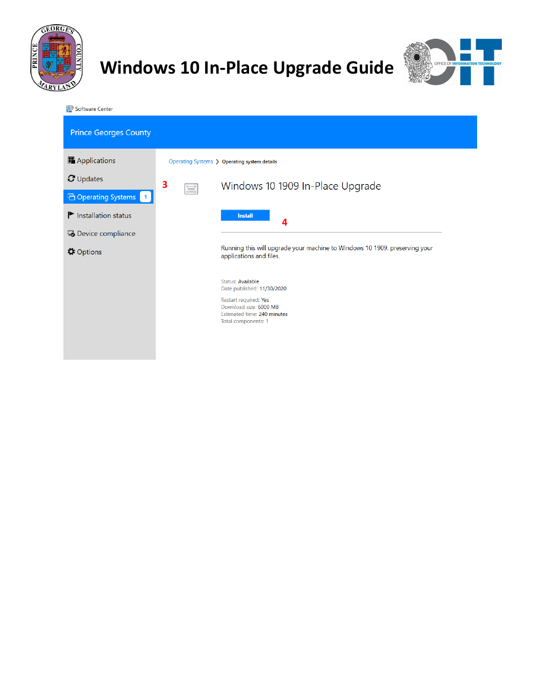



Software Center

| <b>Prince Georges County</b>                  |                                                                                                       |  |  |
|-----------------------------------------------|-------------------------------------------------------------------------------------------------------|--|--|
| Applications                                  | Operating Systems > Operating system details                                                          |  |  |
| $\sigma$ Updates                              | 3<br>Windows 10 1909 In-Place Upgrade                                                                 |  |  |
| □ Operating Systems   1                       | 氲                                                                                                     |  |  |
| $\blacktriangleright$ Installation status     | <b>Install</b><br>4                                                                                   |  |  |
| 5 Device compliance                           |                                                                                                       |  |  |
| <b><math>\boldsymbol{\phi}</math></b> Options | Running this will upgrade your machine to Windows 10 1909, preserving your<br>applications and files. |  |  |
|                                               | Status: Available                                                                                     |  |  |
|                                               | Date published: 11/30/2020                                                                            |  |  |
|                                               | Restart required: Yes<br>Download size: 6000 MB<br>Estimated time: 240 minutes                        |  |  |
|                                               | Total components: 1                                                                                   |  |  |
|                                               |                                                                                                       |  |  |
|                                               |                                                                                                       |  |  |